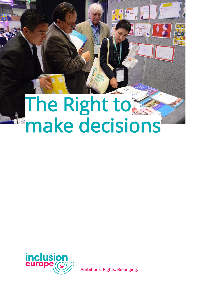# The Right to make decisions

 $\frac{1}{2}$ 



Ambitions. Rights. Belonging.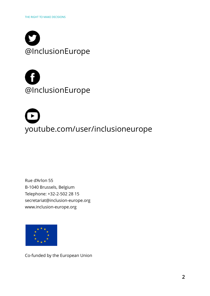



[youtube.com/user/inclusioneurope](http://youtube.com/user/inclusioneurope)

Rue d'Arlon 55 B-1040 Brussels, Belgium Telephone: +32-2-502 28 15 [secretariat@inclusion-europe.org](mailto:secretariat@inclusion-europe.org) [www.inclusion-europe.org](http://www.inclusion-europe.org/)



Co-funded by the European Union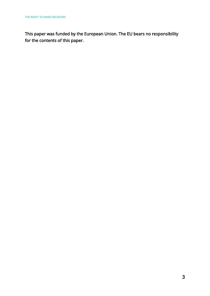This paper was funded by the European Union. The EU bears no responsibility for the contents of this paper.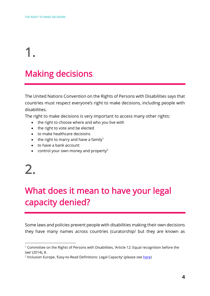### Making decisions

The United Nations Convention on the Rights of Persons with Disabilities says that countries must respect everyone's right to make decisions, including people with disabilities.

The right to make decisions is very important to access many other rights:

- the right to choose where and who you live with
- the right to vote and be elected
- to make healthcare decisions
- the right to marry and have a family<sup>1</sup>
- to have a bank account
- control your own money and property<sup>2</sup>

## 2.

1

### What does it mean to have your legal capacity denied?

Some laws and policies prevent people with disabilities making their own decisions they have many names across countries (curatorship/ but they are known as

<sup>&</sup>lt;sup>1</sup> Committee on the Rights of Persons with Disabilities, 'Article 12: Equal recognition before the law' (2014), 8.

<sup>&</sup>lt;sup>2</sup> Inclusion Europe, 'Easy-to-Read Definitions: Legal Capacity' (please see <u>here</u>)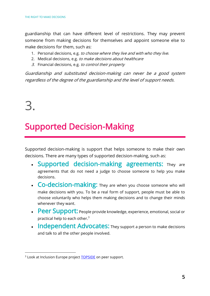guardianship that can have different level of restrictions. They may prevent someone from making decisions for themselves and appoint someone else to make decisions for them, such as:

- 1. Personal decisions, e.g. to choose where they live and with who they live.
- 2. Medical decisions, e.g. to make decisions about healthcare
- 3. Financial decisions, e.g. to control their property

Guardianship and substituted decision-making can never be a good system regardless of the degree of the guardianship and the level of support needs.

# 3.

 $\overline{a}$ 

### Supported Decision-Making

Supported decision-making is support that helps someone to make their own decisions. There are many types of supported decision-making, such as:

- Supported decision-making agreements: They are agreements that do not need a judge to choose someone to help you make decisions.
- Co-decision-making: They are when you choose someone who will make decisions with you. To be a real form of support, people must be able to choose voluntarily who helps them making decisions and to change their minds whenever they want.
- Peer Support: People provide knowledge, experience, emotional, social or practical help to each other. $3$
- Independent Advocates: They support a person to make decisions and talk to all the other people involved.

<sup>&</sup>lt;sup>3</sup> Look at Inclusion Europe project **TOPSIDE** on peer support.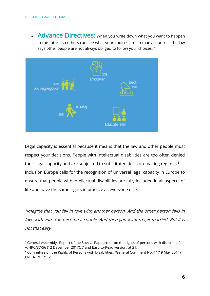$\overline{a}$ 

• Advance Directives: When you write down what you want to happen in the future so others can see what your choices are. In many countries the law says other people are not always obliged to follow your choices."<sup>4</sup>



Legal capacity is essential because it means that the law and other people must respect your decisions. People with intellectual disabilities are too often denied their legal capacity and are subjected to substituted decision-making regimes.<sup>5</sup> Inclusion Europe calls for the recognition of universal legal capacity in Europe to ensure that people with intellectual disabilities are fully included in all aspects of life and have the same rights in practice as everyone else.

"Imagine that you fall in love with another person. And the other person falls in love with you. You become a couple. And then you want to get married. But it is not that easy.

<sup>4</sup> General Assembly, 'Report of the Special Rapporteur on the rights of persons with disabilities' A/HRC/37/56 (12 December 2017), 7 and Easy-to-Read version, at 21.

<sup>5</sup> Committee on the Rights of Persons with Disabilities, "General Comment No. 1" (19 May 2014) CRPD/C/GC/1, 2.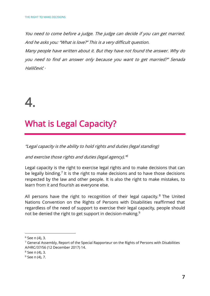You need to come before a judge. The judge can decide if you can get married. And he asks you: "What is love?" This is a very difficult question.

Many people have written about it. But they have not found the answer. Why do you need to find an answer only because you want to get married?" Senada Halilčević ·

# 4.

### What is Legal Capacity?

"Legal capacity is the ability to hold rights and duties (legal standing)

and exercise those rights and duties (legal agency)." 6

Legal capacity is the right to exercise legal rights and to make decisions that can be legally binding.<sup>7</sup> It is the right to make decisions and to have those decisions respected by the law and other people. It is also the right to make mistakes, to learn from it and flourish as everyone else.

All persons have the right to recognition of their legal capacity.<sup>8</sup> The United Nations Convention on the Rights of Persons with Disabilities reaffirmed that regardless of the need of support to exercise their legal capacity, people should not be denied the right to get support in decision-making.<sup>9</sup>

<sup>6</sup> See n (4), 3.

 $7$  General Assembly, Report of the Special Rapporteur on the Rights of Persons with Disabilities A/HRC/37/56 (12 December 2017) 14.

<sup>8</sup> See n (4), 3.

<sup>9</sup> See n (4), 7.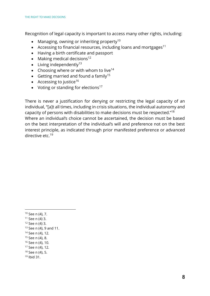Recognition of legal capacity is important to access many other rights, including:

- Managing, owning or inheriting property<sup>10</sup>
- Accessing to financial resources, including loans and mortgages<sup>11</sup>
- Having a birth certificate and passport
- Making medical decisions<sup>12</sup>
- Living independently<sup>13</sup>
- Choosing where or with whom to live<sup>14</sup>
- Getting married and found a family<sup>15</sup>
- Accessing to justice<sup>16</sup>
- Voting or standing for elections<sup>17</sup>

There is never a justification for denying or restricting the legal capacity of an individual, "[a]t all times, including in crisis situations, the individual autonomy and capacity of persons with disabilities to make decisions must be respected."<sup>18</sup> Where an individual's choice cannot be ascertained, the decision must be based on the best interpretation of the individual's will and preference not on the best interest principle, as indicated through prior manifested preference or advanced directive etc $19$ 

1

<sup>18</sup> See n (4), 5.

<sup>10</sup> See n (4), 7.

<sup>11</sup> See n (4) 3.

 $12$  See n (4) 3.

 $13$  See n (4), 9 and 11.

<sup>14</sup> See n (4), 12.

<sup>15</sup> See n (4), 8.

<sup>16</sup> See n (4), 10.

<sup>17</sup> See n (4), 12.

 $19$  Ihid 31.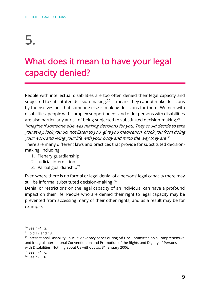### What does it mean to have your legal capacity denied?

People with intellectual disabilities are too often denied their legal capacity and subjected to substituted decision-making.<sup>20</sup> It means they cannot make decisions by themselves but that someone else is making decisions for them. Women with disabilities, people with complex support needs and older persons with disabilities are also particularly at risk of being subjected to substituted decision-making.<sup>21</sup> "Imagine if someone else was making decisions for you. They could decide to take you away, lock you up, not listen to you, give you medication, block you from doing your work and living your life with your body and mind the way they are" 22 There are many different laws and practices that provide for substituted decisionmaking, including;

- 1. Plenary guardianship
- 2. Judicial interdiction
- 3. Partial guardianship<sup>23</sup>

Even where there is no formal or legal denial of a persons' legal capacity there may still be informal substituted decision-making.<sup>24</sup>

Denial or restrictions on the legal capacity of an individual can have a profound impact on their life. People who are denied their right to legal capacity may be prevented from accessing many of their other rights, and as a result may be for example:

 $20$  See n (4), 2.

<sup>21</sup> Ibid 17 and 18.

<sup>&</sup>lt;sup>22</sup> International Disability Caucus: Advocacy paper during Ad Hoc Committee on a Comprehensive and Integral International Convention on and Promotion of the Rights and Dignity of Persons with Disabilities, Nothing about Us without Us, 31 January 2006.

 $23$  See n (4), 6.

<sup>24</sup> See n (3) 16.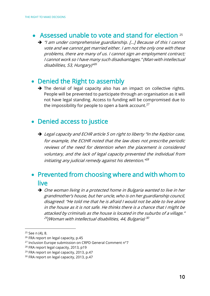#### • Assessed unable to vote and stand for election 25

➔ "I am under comprehensive guardianship. […] Because of this I cannot vote and we cannot get married either. I am not the only one with these problems, there are many of us. I cannot sign an employment contract; I cannot work so I have many such disadvantages." (Man with intellectual disabilities, 53, Hungary)" <sup>26</sup>

#### • Denied the Right to assembly

→ The denial of legal capacity also has an impact on collective rights. People will be prevented to participate through an organisation as it will not have legal standing. Access to funding will be compromised due to the impossibility for people to open a bank account.<sup>27</sup>

#### • Denied access to justice

➔ Legal capacity and ECHR article 5 on right to liberty "In the Kędzior case, for example, the ECtHR noted that the law does not prescribe periodic reviews of the need for detention when the placement is considered voluntary, and the lack of legal capacity prevented the individual from initiating any judicial remedy against his detention."<sup>28</sup>

#### • Prevented from choosing where and with whom to live

➔ One woman living in a protected home in Bulgaria wanted to live in her grandmother's house, but her uncle, who is on her guardianship council, disagreed: "He told me that he is afraid I would not be able to live alone in the house as it is not safe. He thinks there is a chance that I might be attacked by criminals as the house is located in the suburbs of a village." <sup>29</sup>(Woman with intellectual disabilities, 44, Bulgaria) <sup>30</sup>

<sup>25</sup> See n (4), 8.

<sup>&</sup>lt;sup>26</sup> FRA report on legal capacity, p.45

<sup>27</sup> Inclusion Europe submission on CRPD General Comment n°7

<sup>28</sup> FRA report legal capacity, 2013, p19

<sup>&</sup>lt;sup>29</sup> FRA report on legal capacity, 2013, p.47

<sup>&</sup>lt;sup>30</sup> FRA report on legal capacity, 2013, p.47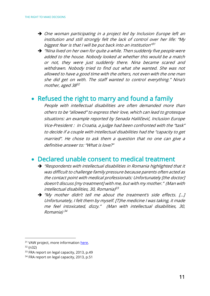- ➔ One woman participating in a project led by Inclusion Europe left an institution and still strongly felt the lack of control over her life: "My biggest fear is that I will be put back into an institution"<sup>31</sup>
- ➔ "Nina lived on her own for quite a while. Then suddenly five people were added to the house. Nobody looked at whether this would be a match or not, they were just suddenly there. Nina became scared and withdrawn. Nobody tried to find out what she wanted. She was not allowed to have a good time with the others, not even with the one man she did get on with. The staff wanted to control everything." Nina's mother, aged 38 32

#### • Refused the right to marry and found a family

People with intellectual disabilities are often demanded more than others to be "allowed" to express their love, which can lead to grotesque situations: an example reported by Senada Halilčević, Inclusion Europe Vice-President : In Croatia, a judge had been confronted with the "task" to decide if a couple with intellectual disabilities had the "capacity to get married". He chose to ask them a question that no one can give a definitive answer to: "What is love?"

#### • Declared unable consent to medical treatment

- ➔ "Respondents with intellectual disabilities in Romania highlighted that it was difficult to challenge family pressure because parents often acted as the contact point with medical professionals: Unfortunately [the doctor] doesn't discuss [my treatment] with me, but with my mother." (Man with intellectual disabilities, 30, Romania)<sup>33</sup>
- → "Mv mother didn't tell me about the treatment's side effects. [...] Unfortunately, I felt them by myself. [T}he medicine I was taking, it made me feel intoxicated, dizzy." (Man with intellectual disabilities, 30, Romania) 34

<sup>32</sup> (n32)

<sup>&</sup>lt;sup>31</sup> VAW project, more information [here.](https://inclusion-europe.eu/?p=7892)

<sup>&</sup>lt;sup>33</sup> FRA report on legal capacity, 2013, p.49

<sup>&</sup>lt;sup>34</sup> FRA report on legal capacity, 2013, p.51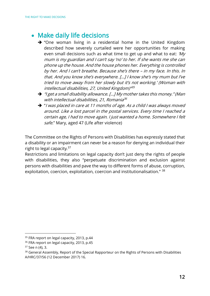#### • Make daily life decisions

- ➔ "One woman living in a residential home in the United Kingdom described how severely curtailed were her opportunities for making even small decisions such as what time to get up and what to eat: 'My mum is my guardian and I can't say 'no' to her. If she wants me she can phone up the house. And the house phones her. Everything is controlled by her. And I can't breathe. Because she's there – in my face. In this. In that. And you know she's everywhere. […] I know she's my mum but I've tried to move away from her slowly but it's not working.' (Woman with intellectual disabilities, 27, United Kingdom)" 35
- ➔ "I get a small disability allowance. […] My mother takes this money." (Man with intellectual disabilities, 21, Romania 36
- ➔ "I was placed in care at 11 months of age. As a child I was always moved around. Like a lost parcel in the postal services. Every time I reached a certain age, I had to move again. I just wanted a home. Somewhere I felt safe." Mary, aged 47 (Life after violence)

The Committee on the Rights of Persons with Disabilities has expressly stated that a disability or an impairment can never be a reason for denying an individual their right to legal capacity. $37$ 

Restrictions and limitations on legal capacity don't just deny the rights of people with disabilities, they also "perpetuate discrimination and exclusion against persons with disabilities and pave the way to different forms of abuse, corruption, exploitation, coercion, exploitation, coercion and institutionalisation." 38

<sup>&</sup>lt;sup>35</sup> FRA report on legal capacity, 2013, p.44

<sup>&</sup>lt;sup>36</sup> FRA report on legal capacity, 2013, p.45

<sup>37</sup> See n (4), 3.

<sup>&</sup>lt;sup>38</sup> General Assembly, Report of the Special Rapporteur on the Rights of Persons with Disabilities A/HRC/37/56 (12 December 2017) 16.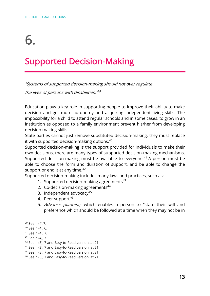### Supported Decision-Making

"Systems of supported decision-making should not over regulate

the lives of persons with disabilities."<sup>89</sup>

Education plays a key role in supporting people to improve their ability to make decision and get more autonomy and acquiring independent living skills. The impossibility for a child to attend regular schools and in some cases, to grow in an institution as opposed to a family environment prevent his/her from developing decision making skills.

State parties cannot just remove substituted decision-making, they must replace it with supported decision-making options.<sup>40</sup>

Supported decision-making is the support provided for individuals to make their own decisions, there are many types of supported decision-making mechanisms. Supported decision-making must be available to everyone.<sup>41</sup> A person must be able to choose the form and duration of support, and be able to change the support or end it at any time. $42$ 

Supported decision-making includes many laws and practices, such as:

- 1. Supported decision-making agreements $43$
- 2. Co-decision-making agreements<sup>44</sup>
- 3. Independent advocacy $45$
- 4. Peer support<sup>46</sup>
- 5. Advance planning: which enables a person to "state their will and preference which should be followed at a time when they may not be in

<sup>&</sup>lt;sup>39</sup> See n (4),7.

 $40$  See n (4), 6.

<sup>41</sup> See n (4), 7.

<sup>42</sup> See n (4), 7.

<sup>43</sup> See n (3), 7 and Easy-to-Read version, at 21.

<sup>44</sup> See n (3), 7 and Easy-to-Read version, at 21.

<sup>45</sup> See n (3), 7 and Easy-to-Read version, at 21.

<sup>46</sup> See n (3), 7 and Easy-to-Read version, at 21.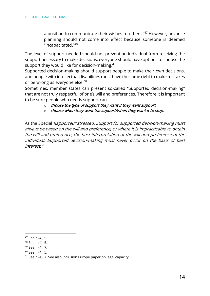a position to communicate their wishes to others."<sup>47</sup> However, advance planning should not come into effect because someone is deemed "incapacitated."<sup>48</sup>

The level of support needed should not prevent an individual from receiving the support necessary to make decisions, everyone should have options to choose the support they would like for decision-making.<sup>49</sup>

Supported decision-making should support people to make their own decisions, and people with intellectual disabilities must have the same right to make mistakes or be wrong as everyone else. 50

Sometimes, member states can present so-called "Supported decision-making" that are not truly respectful of one's will and preferences. Therefore it is important to be sure people who needs support can

- $\circ$  choose the type of support they want if they want support
- $\circ$  choose when they want the support/when they want it to stop.

As the Special Rapporteur stressed: Support for supported decision-making must always be based on the will and preference, or where it is impracticable to obtain the will and preference, the best interpretation of the will and preference of the individual. Supported decision-making must never occur on the basis of best interest.<sup>51</sup>

<sup>47</sup> See n (4), 5.

<sup>48</sup> See n (4), 5.

<sup>49</sup> See n (4), 7.

<sup>50</sup> See n (4), 5.

<sup>51</sup> See n (4), 7. See also Inclusion Europe paper on legal capacity.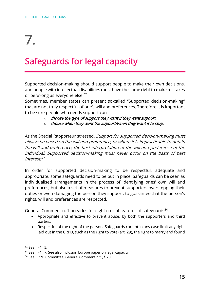### Safeguards for legal capacity

Supported decision-making should support people to make their own decisions, and people with intellectual disabilities must have the same right to make mistakes or be wrong as everyone else.<sup>52</sup>

Sometimes, member states can present so-called "Supported decision-making" that are not truly respectful of one's will and preferences. Therefore it is important to be sure people who needs support can

- $\circ$  choose the type of support they want if they want support
- $\circ$  choose when they want the support/when they want it to stop.

As the Special Rapporteur stressed: Support for supported decision-making must always be based on the will and preference, or where it is impracticable to obtain the will and preference, the best interpretation of the will and preference of the individual. Supported decision-making must never occur on the basis of best interest.<sup>53</sup>

In order for supported decision-making to be respectful, adequate and appropriate, some safeguards need to be put in place. Safeguards can be seen as individualised arrangements in the process of identifying ones' own will and preferences, but also a set of measures to prevent supporters overstepping their duties or even damaging the person they support, to guarantee that the person's rights, will and preferences are respected.

General Comment n. 1 provides for eight crucial features of safeguards<sup>54</sup>:

- Appropriate and effective to prevent abuse, by both the supporters and third parties.
- Respectful of the right of the person. Safeguards cannot in any case limit any right laid out in the CRPD, such as the right to vote (art. 29), the right to marry and found

1

<sup>52</sup> See n (4), 5.

 $53$  See n (4), 7. See also Inclusion Europe paper on legal capacity.

<sup>54</sup> See CRPD Committee, General Comment n°1, § 20.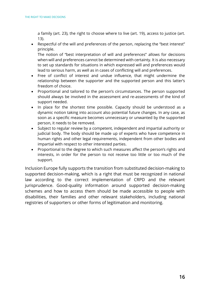a family (art. 23), the right to choose where to live (art. 19), access to justice (art. 13).

• Respectful of the will and preferences of the person, replacing the "best interest" principle.

The notion of "best interpretation of will and preferences" allows for decisions when will and preferences cannot be determined with certainty. It is also necessary to set up standards for situations in which expressed will and preferences would lead to serious harm, as well as in cases of conflicting will and preferences.

- Free of conflict of interest and undue influence, that might undermine the relationship between the supporter and the supported person and this latter's freedom of choice.
- Proportional and tailored to the person's circumstances. The person supported should always be involved in the assessment and re-assessments of the kind of support needed.
- In place for the shortest time possible. Capacity should be understood as a dynamic notion taking into account also potential future changes. In any case, as soon as a specific measure becomes unnecessary or unwanted by the supported person, it needs to be removed.
- Subject to regular review by a competent, independent and impartial authority or judicial body. The body should be made up of experts who have competence in human rights and other legal requirements, independent from other bodies and impartial with respect to other interested parties.
- Proportional to the degree to which such measures affect the person's rights and interests, in order for the person to not receive too little or too much of the support.

Inclusion Europe fully supports the transition from substituted decision-making to supported decision-making, which is a right that must be recognized in national law according to the correct implementation of CRPD and the relevant jurisprudence. Good-quality information around supported decision-making schemes and how to access them should be made accessible to people with disabilities, their families and other relevant stakeholders, including national registries of supporters or other forms of legitimation and monitoring.